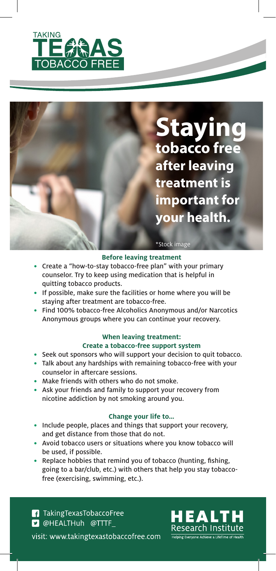

# **Staying tobacco free after leaving treatment is important for your health.**

### \*Stock image

### **Before leaving treatment**

- Create a "how-to-stay tobacco-free plan" with your primary counselor. Try to keep using medication that is helpful in quitting tobacco products.
- If possible, make sure the facilities or home where you will be staying after treatment are tobacco-free.
- Find 100% tobacco-free Alcoholics Anonymous and/or Narcotics Anonymous groups where you can continue your recovery.

### **When leaving treatment: Create a tobacco-free support system**

- Seek out sponsors who will support your decision to quit tobacco.
- Talk about any hardships with remaining tobacco-free with your counselor in aftercare sessions.
- Make friends with others who do not smoke.
- Ask your friends and family to support your recovery from nicotine addiction by not smoking around you.

### **Change your life to…**

- Include people, places and things that support your recovery, and get distance from those that do not.
- Avoid tobacco users or situations where you know tobacco will be used, if possible.
- Replace hobbies that remind you of tobacco (hunting, fishing, going to a bar/club, etc.) with others that help you stay tobaccofree (exercising, swimming, etc.).

**f** Taking Texas Tobacco Free **D** @HEALTHuh @TTTF visit: www.takingtexastobaccofree.com